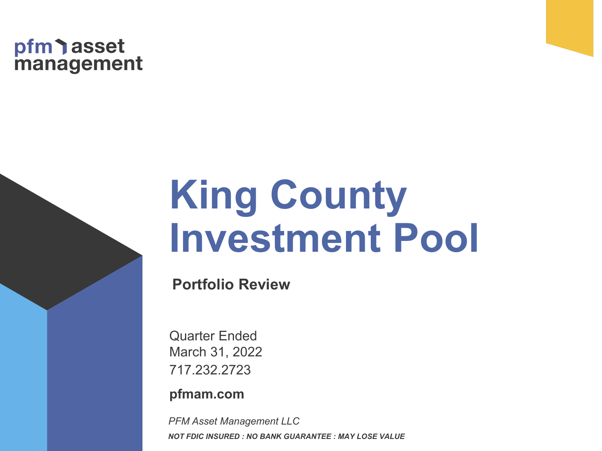# pfm asset<br>management

# **King County Investment Pool**

**Portfolio Review**

717.232.2723 Quarter Ended March 31, 2022

**pfmam.com** 

*PFM Asset Management LLC NOT FDIC INSURED : NO BANK GUARANTEE : MAY LOSE VALUE*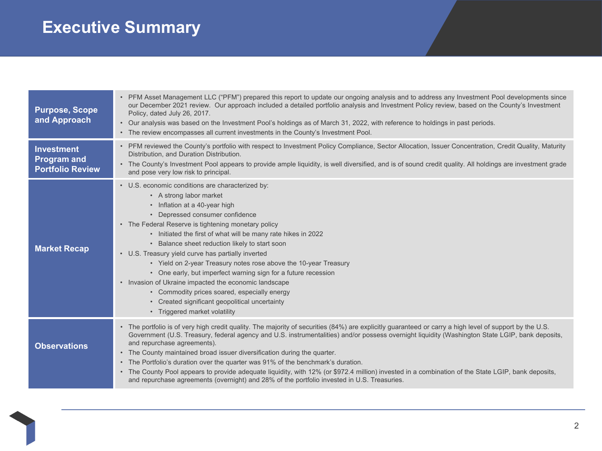# **Executive Summary**

| <b>Purpose, Scope</b><br>and Approach                              | PFM Asset Management LLC ("PFM") prepared this report to update our ongoing analysis and to address any Investment Pool developments since<br>our December 2021 review. Our approach included a detailed portfolio analysis and Investment Policy review, based on the County's Investment<br>Policy, dated July 26, 2017.<br>• Our analysis was based on the Investment Pool's holdings as of March 31, 2022, with reference to holdings in past periods.<br>• The review encompasses all current investments in the County's Investment Pool.                                                                                                                                                                                                                |
|--------------------------------------------------------------------|----------------------------------------------------------------------------------------------------------------------------------------------------------------------------------------------------------------------------------------------------------------------------------------------------------------------------------------------------------------------------------------------------------------------------------------------------------------------------------------------------------------------------------------------------------------------------------------------------------------------------------------------------------------------------------------------------------------------------------------------------------------|
| <b>Investment</b><br><b>Program and</b><br><b>Portfolio Review</b> | • PFM reviewed the County's portfolio with respect to Investment Policy Compliance, Sector Allocation, Issuer Concentration, Credit Quality, Maturity<br>Distribution, and Duration Distribution.<br>• The County's Investment Pool appears to provide ample liquidity, is well diversified, and is of sound credit quality. All holdings are investment grade<br>and pose very low risk to principal.                                                                                                                                                                                                                                                                                                                                                         |
| <b>Market Recap</b>                                                | • U.S. economic conditions are characterized by:<br>• A strong labor market<br>• Inflation at a 40-year high<br>• Depressed consumer confidence<br>• The Federal Reserve is tightening monetary policy<br>• Initiated the first of what will be many rate hikes in 2022<br>• Balance sheet reduction likely to start soon<br>• U.S. Treasury yield curve has partially inverted<br>• Yield on 2-year Treasury notes rose above the 10-year Treasury<br>• One early, but imperfect warning sign for a future recession<br>• Invasion of Ukraine impacted the economic landscape<br>• Commodity prices soared, especially energy<br>• Created significant geopolitical uncertainty<br>• Triggered market volatility                                              |
| <b>Observations</b>                                                | • The portfolio is of very high credit quality. The majority of securities (84%) are explicitly guaranteed or carry a high level of support by the U.S.<br>Government (U.S. Treasury, federal agency and U.S. instrumentalities) and/or possess overnight liquidity (Washington State LGIP, bank deposits,<br>and repurchase agreements).<br>• The County maintained broad issuer diversification during the quarter.<br>• The Portfolio's duration over the quarter was 91% of the benchmark's duration.<br>• The County Pool appears to provide adequate liquidity, with 12% (or \$972.4 million) invested in a combination of the State LGIP, bank deposits,<br>and repurchase agreements (overnight) and 28% of the portfolio invested in U.S. Treasuries. |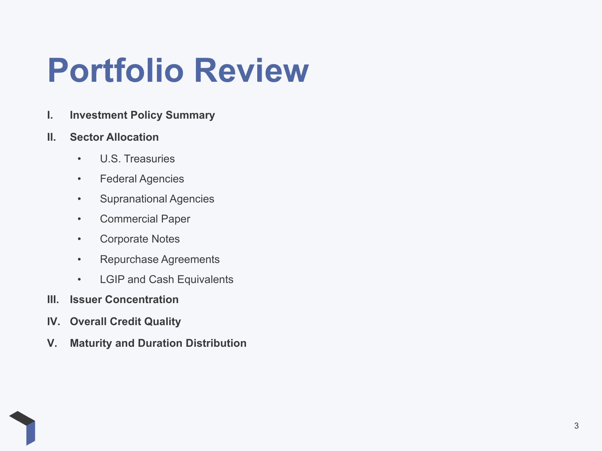# **Portfolio Review**

**I. Investment Policy Summary**

#### **II. Sector Allocation**

- U.S. Treasuries
- Federal Agencies
- Supranational Agencies
- Commercial Paper
- Corporate Notes
- Repurchase Agreements
- LGIP and Cash Equivalents
- **III. Issuer Concentration**
- **IV. Overall Credit Quality**
- **V. Maturity and Duration Distribution**

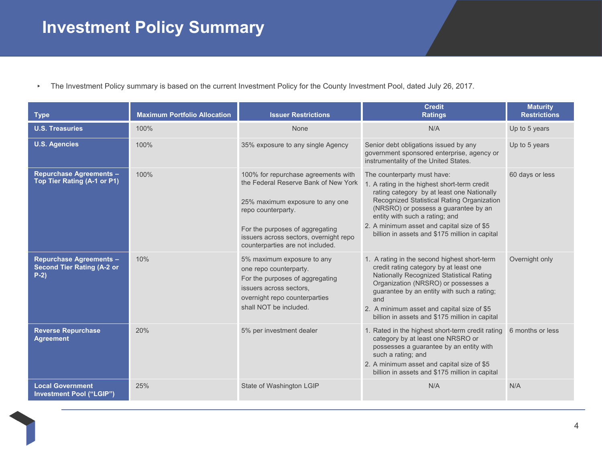# **Investment Policy Summary**

▸ The Investment Policy summary is based on the current Investment Policy for the County Investment Pool, dated July 26, 2017.

| <b>Type</b>                                                                   | <b>Maximum Portfolio Allocation</b> | <b>Issuer Restrictions</b>                                                                                                                                                                                                                            | <b>Credit</b><br><b>Ratings</b>                                                                                                                                                                                                                                                                                                                   | <b>Maturity</b><br><b>Restrictions</b> |
|-------------------------------------------------------------------------------|-------------------------------------|-------------------------------------------------------------------------------------------------------------------------------------------------------------------------------------------------------------------------------------------------------|---------------------------------------------------------------------------------------------------------------------------------------------------------------------------------------------------------------------------------------------------------------------------------------------------------------------------------------------------|----------------------------------------|
| <b>U.S. Treasuries</b>                                                        | 100%                                | None                                                                                                                                                                                                                                                  | N/A                                                                                                                                                                                                                                                                                                                                               | Up to 5 years                          |
| <b>U.S. Agencies</b>                                                          | 100%                                | 35% exposure to any single Agency                                                                                                                                                                                                                     | Senior debt obligations issued by any<br>government sponsored enterprise, agency or<br>instrumentality of the United States.                                                                                                                                                                                                                      | Up to 5 years                          |
| <b>Repurchase Agreements -</b><br>Top Tier Rating (A-1 or P1)                 | 100%                                | 100% for repurchase agreements with<br>the Federal Reserve Bank of New York<br>25% maximum exposure to any one<br>repo counterparty.<br>For the purposes of aggregating<br>issuers across sectors, overnight repo<br>counterparties are not included. | The counterparty must have:<br>1. A rating in the highest short-term credit<br>rating category by at least one Nationally<br>Recognized Statistical Rating Organization<br>(NRSRO) or possess a guarantee by an<br>entity with such a rating; and<br>2. A minimum asset and capital size of \$5<br>billion in assets and \$175 million in capital | 60 days or less                        |
| <b>Repurchase Agreements -</b><br><b>Second Tier Rating (A-2 or</b><br>$P-2)$ | 10%                                 | 5% maximum exposure to any<br>one repo counterparty.<br>For the purposes of aggregating<br>issuers across sectors.<br>overnight repo counterparties<br>shall NOT be included.                                                                         | 1. A rating in the second highest short-term<br>credit rating category by at least one<br>Nationally Recognized Statistical Rating<br>Organization (NRSRO) or possesses a<br>guarantee by an entity with such a rating;<br>and<br>2. A minimum asset and capital size of \$5<br>billion in assets and \$175 million in capital                    | Overnight only                         |
| <b>Reverse Repurchase</b><br><b>Agreement</b>                                 | 20%                                 | 5% per investment dealer                                                                                                                                                                                                                              | 1. Rated in the highest short-term credit rating 6 months or less<br>category by at least one NRSRO or<br>possesses a guarantee by an entity with<br>such a rating; and<br>2. A minimum asset and capital size of \$5<br>billion in assets and \$175 million in capital                                                                           |                                        |
| <b>Local Government</b><br><b>Investment Pool ("LGIP")</b>                    | 25%                                 | State of Washington LGIP                                                                                                                                                                                                                              | N/A                                                                                                                                                                                                                                                                                                                                               | N/A                                    |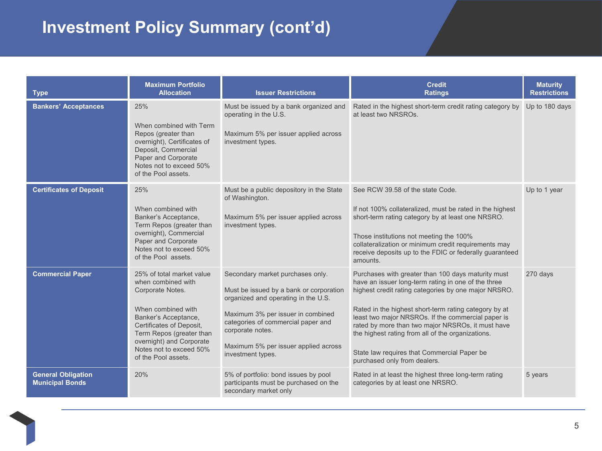# **Investment Policy Summary (cont'd)**

| <b>Type</b>                                         | <b>Maximum Portfolio</b><br><b>Allocation</b>                                                                                                                                                                                                           | <b>Issuer Restrictions</b>                                                                                                                                                                                                                                                     | <b>Credit</b><br><b>Ratings</b>                                                                                                                                                                                                                                                                                                                                                                                                                                           | <b>Maturity</b><br><b>Restrictions</b> |
|-----------------------------------------------------|---------------------------------------------------------------------------------------------------------------------------------------------------------------------------------------------------------------------------------------------------------|--------------------------------------------------------------------------------------------------------------------------------------------------------------------------------------------------------------------------------------------------------------------------------|---------------------------------------------------------------------------------------------------------------------------------------------------------------------------------------------------------------------------------------------------------------------------------------------------------------------------------------------------------------------------------------------------------------------------------------------------------------------------|----------------------------------------|
| <b>Bankers' Acceptances</b>                         | 25%<br>When combined with Term<br>Repos (greater than<br>overnight), Certificates of<br>Deposit, Commercial<br>Paper and Corporate<br>Notes not to exceed 50%<br>of the Pool assets.                                                                    | Must be issued by a bank organized and<br>operating in the U.S.<br>Maximum 5% per issuer applied across<br>investment types.                                                                                                                                                   | Rated in the highest short-term credit rating category by<br>at least two NRSROs.                                                                                                                                                                                                                                                                                                                                                                                         | Up to 180 days                         |
| <b>Certificates of Deposit</b>                      | 25%<br>When combined with<br>Banker's Acceptance,<br>Term Repos (greater than<br>overnight), Commercial<br>Paper and Corporate<br>Notes not to exceed 50%<br>of the Pool assets.                                                                        | Must be a public depository in the State<br>of Washington.<br>Maximum 5% per issuer applied across<br>investment types.                                                                                                                                                        | See RCW 39.58 of the state Code.<br>If not 100% collateralized, must be rated in the highest<br>short-term rating category by at least one NRSRO.<br>Those institutions not meeting the 100%<br>collateralization or minimum credit requirements may<br>receive deposits up to the FDIC or federally guaranteed<br>amounts.                                                                                                                                               | Up to 1 year                           |
| <b>Commercial Paper</b>                             | 25% of total market value<br>when combined with<br>Corporate Notes.<br>When combined with<br>Banker's Acceptance,<br>Certificates of Deposit,<br>Term Repos (greater than<br>overnight) and Corporate<br>Notes not to exceed 50%<br>of the Pool assets. | Secondary market purchases only.<br>Must be issued by a bank or corporation<br>organized and operating in the U.S.<br>Maximum 3% per issuer in combined<br>categories of commercial paper and<br>corporate notes.<br>Maximum 5% per issuer applied across<br>investment types. | Purchases with greater than 100 days maturity must<br>have an issuer long-term rating in one of the three<br>highest credit rating categories by one major NRSRO.<br>Rated in the highest short-term rating category by at<br>least two major NRSROs. If the commercial paper is<br>rated by more than two major NRSROs, it must have<br>the highest rating from all of the organizations.<br>State law requires that Commercial Paper be<br>purchased only from dealers. | 270 days                               |
| <b>General Obligation</b><br><b>Municipal Bonds</b> | 20%                                                                                                                                                                                                                                                     | 5% of portfolio: bond issues by pool<br>participants must be purchased on the<br>secondary market only                                                                                                                                                                         | Rated in at least the highest three long-term rating<br>categories by at least one NRSRO.                                                                                                                                                                                                                                                                                                                                                                                 | 5 years                                |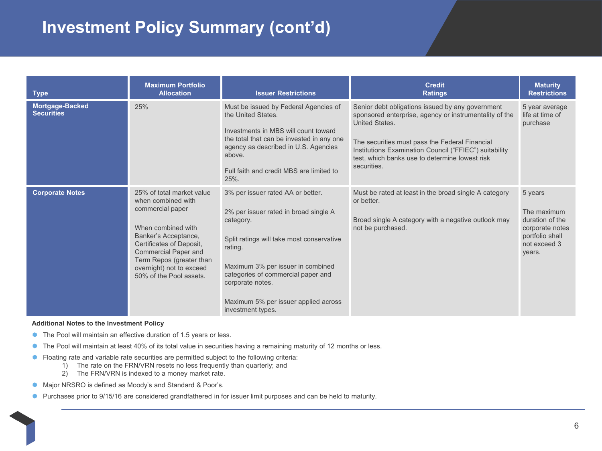#### **Investment Policy Summary (cont'd)**

| <b>Type</b>                          | <b>Maximum Portfolio</b><br><b>Allocation</b>                                                                                                                                                                                                                   | <b>Issuer Restrictions</b>                                                                                                                                                                                                                                                                                  | <b>Credit</b><br><b>Ratings</b>                                                                                                                                                                                                                                                                           | <b>Maturity</b><br><b>Restrictions</b>                                                                    |
|--------------------------------------|-----------------------------------------------------------------------------------------------------------------------------------------------------------------------------------------------------------------------------------------------------------------|-------------------------------------------------------------------------------------------------------------------------------------------------------------------------------------------------------------------------------------------------------------------------------------------------------------|-----------------------------------------------------------------------------------------------------------------------------------------------------------------------------------------------------------------------------------------------------------------------------------------------------------|-----------------------------------------------------------------------------------------------------------|
| Mortgage-Backed<br><b>Securities</b> | 25%                                                                                                                                                                                                                                                             | Must be issued by Federal Agencies of<br>the United States.<br>Investments in MBS will count toward<br>the total that can be invested in any one<br>agency as described in U.S. Agencies<br>above.<br>Full faith and credit MBS are limited to<br>25%.                                                      | Senior debt obligations issued by any government<br>sponsored enterprise, agency or instrumentality of the<br>United States.<br>The securities must pass the Federal Financial<br>Institutions Examination Council ("FFIEC") suitability<br>test, which banks use to determine lowest risk<br>securities. | 5 year average<br>life at time of<br>purchase                                                             |
| <b>Corporate Notes</b>               | 25% of total market value<br>when combined with<br>commercial paper<br>When combined with<br>Banker's Acceptance,<br>Certificates of Deposit,<br><b>Commercial Paper and</b><br>Term Repos (greater than<br>overnight) not to exceed<br>50% of the Pool assets. | 3% per issuer rated AA or better.<br>2% per issuer rated in broad single A<br>category.<br>Split ratings will take most conservative<br>rating.<br>Maximum 3% per issuer in combined<br>categories of commercial paper and<br>corporate notes.<br>Maximum 5% per issuer applied across<br>investment types. | Must be rated at least in the broad single A category<br>or better.<br>Broad single A category with a negative outlook may<br>not be purchased.                                                                                                                                                           | 5 years<br>The maximum<br>duration of the<br>corporate notes<br>portfolio shall<br>not exceed 3<br>years. |

#### **Additional Notes to the Investment Policy**

- The Pool will maintain an effective duration of 1.5 years or less.
- The Pool will maintain at least 40% of its total value in securities having a remaining maturity of 12 months or less.
- **•** Floating rate and variable rate securities are permitted subject to the following criteria:
	- 1) The rate on the FRN/VRN resets no less frequently than quarterly; and
	- 2) The FRN/VRN is indexed to a money market rate.
- **Major NRSRO is defined as Moody's and Standard & Poor's.**
- **Purchases prior to 9/15/16 are considered grandfathered in for issuer limit purposes and can be held to maturity.**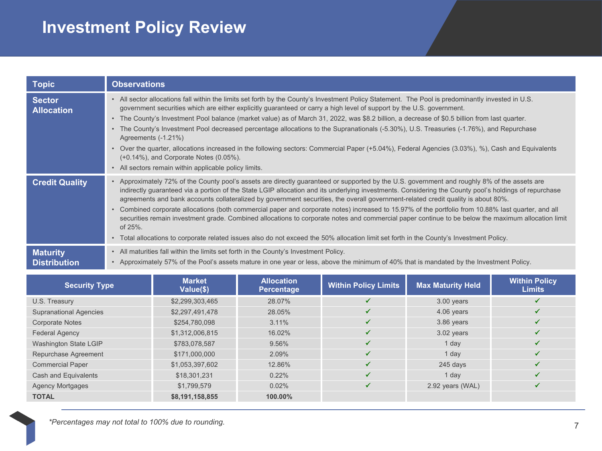# **Investment Policy Review**

| <b>Topic</b>                       | <b>Observations</b>                                                                                                                                                                                                                                                                                                                                                                                                                                                                                                                                                                                                                                                                                                                                                                                                                                                                                          |
|------------------------------------|--------------------------------------------------------------------------------------------------------------------------------------------------------------------------------------------------------------------------------------------------------------------------------------------------------------------------------------------------------------------------------------------------------------------------------------------------------------------------------------------------------------------------------------------------------------------------------------------------------------------------------------------------------------------------------------------------------------------------------------------------------------------------------------------------------------------------------------------------------------------------------------------------------------|
| <b>Sector</b><br><b>Allocation</b> | . All sector allocations fall within the limits set forth by the County's Investment Policy Statement. The Pool is predominantly invested in U.S.<br>government securities which are either explicitly guaranteed or carry a high level of support by the U.S. government.<br>• The County's Investment Pool balance (market value) as of March 31, 2022, was \$8.2 billion, a decrease of \$0.5 billion from last quarter.<br>The County's Investment Pool decreased percentage allocations to the Supranationals (-5.30%), U.S. Treasuries (-1.76%), and Repurchase<br>$\bullet$<br>Agreements (-1.21%)<br>Over the quarter, allocations increased in the following sectors: Commercial Paper (+5.04%), Federal Agencies (3.03%), %), Cash and Equivalents<br>(+0.14%), and Corporate Notes (0.05%).                                                                                                       |
|                                    | • All sectors remain within applicable policy limits.                                                                                                                                                                                                                                                                                                                                                                                                                                                                                                                                                                                                                                                                                                                                                                                                                                                        |
| <b>Credit Quality</b>              | • Approximately 72% of the County pool's assets are directly guaranteed or supported by the U.S. government and roughly 8% of the assets are<br>indirectly guaranteed via a portion of the State LGIP allocation and its underlying investments. Considering the County pool's holdings of repurchase<br>agreements and bank accounts collateralized by government securities, the overall government-related credit quality is about 80%.<br>Combined corporate allocations (both commercial paper and corporate notes) increased to 15.97% of the portfolio from 10.88% last quarter, and all<br>securities remain investment grade. Combined allocations to corporate notes and commercial paper continue to be below the maximum allocation limit<br>of 25%.<br>• Total allocations to corporate related issues also do not exceed the 50% allocation limit set forth in the County's Investment Policy. |
| <b>Maturity</b>                    | All maturities fall within the limits set forth in the County's Investment Policy.                                                                                                                                                                                                                                                                                                                                                                                                                                                                                                                                                                                                                                                                                                                                                                                                                           |
| <b>Distribution</b>                | • Approximately 57% of the Pool's assets mature in one year or less, above the minimum of 40% that is mandated by the Investment Policy.                                                                                                                                                                                                                                                                                                                                                                                                                                                                                                                                                                                                                                                                                                                                                                     |

| <b>Security Type</b>          | <b>Market</b><br>Value(\$) | <b>Allocation</b><br><b>Percentage</b> | <b>Within Policy Limits</b> | <b>Max Maturity Held</b> | <b>Within Policy</b><br><b>Limits</b> |
|-------------------------------|----------------------------|----------------------------------------|-----------------------------|--------------------------|---------------------------------------|
| U.S. Treasury                 | \$2,299,303,465            | 28.07%                                 |                             | $3.00$ years             |                                       |
| <b>Supranational Agencies</b> | \$2,297,491,478            | 28.05%                                 | ✔                           | 4.06 years               |                                       |
| <b>Corporate Notes</b>        | \$254,780,098              | 3.11%                                  | ✔                           | 3.86 years               |                                       |
| <b>Federal Agency</b>         | \$1,312,006,815            | 16.02%                                 | ✓                           | $3.02$ years             |                                       |
| Washington State LGIP         | \$783,078,587              | 9.56%                                  | ✔                           | 1 day                    |                                       |
| Repurchase Agreement          | \$171,000,000              | 2.09%                                  | ✔                           | 1 day                    |                                       |
| <b>Commercial Paper</b>       | \$1,053,397,602            | 12.86%                                 | ✓                           | $245$ days               |                                       |
| Cash and Equivalents          | \$18,301,231               | 0.22%                                  | ✓                           | 1 day                    |                                       |
| <b>Agency Mortgages</b>       | \$1,799,579                | 0.02%                                  | ✔                           | 2.92 years (WAL)         |                                       |
| <b>TOTAL</b>                  | \$8,191,158,855            | 100.00%                                |                             |                          |                                       |

7 *\*Percentages may not total to 100% due to rounding.*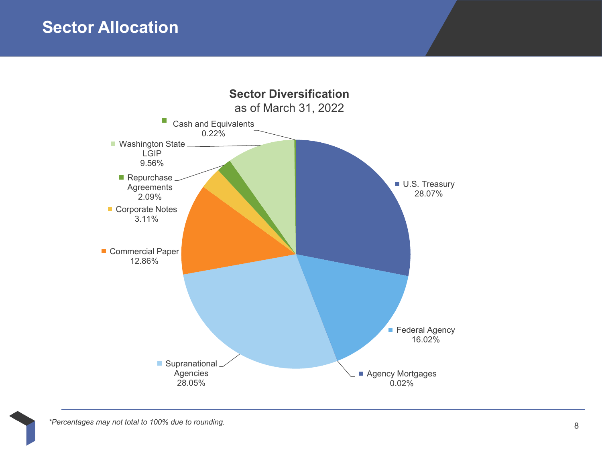#### **Sector Allocation**

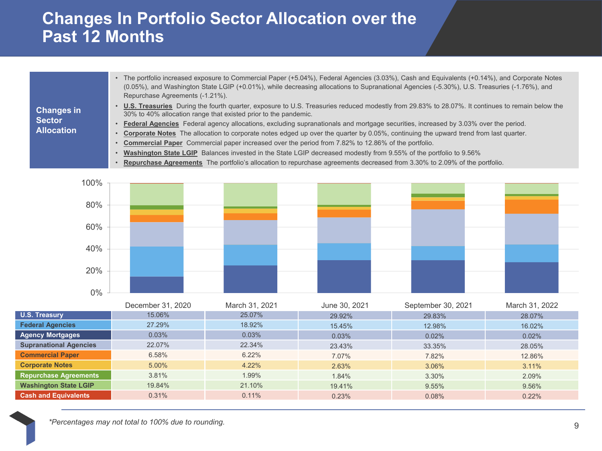#### **Changes In Portfolio Sector Allocation over the Past 12 Months**

|                   | The portfolio increased exposure to Commercial Paper (+5.04%), Federal Agencies (3.03%), Cash and Equivalents (+0.14%), and Corporate Notes<br>(0.05%), and Washington State LGIP (+0.01%), while decreasing allocations to Supranational Agencies (-5.30%), U.S. Treasuries (-1.76%), and<br>Repurchase Agreements (-1.21%). |
|-------------------|-------------------------------------------------------------------------------------------------------------------------------------------------------------------------------------------------------------------------------------------------------------------------------------------------------------------------------|
| <b>Changes in</b> | . U.S. Treasuries During the fourth quarter, exposure to U.S. Treasuries reduced modestly from 29.83% to 28.07%. It continues to remain below the<br>30% to 40% allocation range that existed prior to the pandemic.                                                                                                          |
| <b>Sector</b>     | Federal Agencies Federal agency allocations, excluding supranationals and mortgage securities, increased by 3.03% over the period.                                                                                                                                                                                            |
| <b>Allocation</b> | Corporate Notes The allocation to corporate notes edged up over the quarter by 0.05%, continuing the upward trend from last quarter.                                                                                                                                                                                          |
|                   | <b>Commercial Paper</b> Commercial paper increased over the period from 7.82% to 12.86% of the portfolio.                                                                                                                                                                                                                     |
|                   | Washington State LGIP Balances invested in the State LGIP decreased modestly from 9.55% of the portfolio to 9.56%                                                                                                                                                                                                             |
|                   |                                                                                                                                                                                                                                                                                                                               |

• **Repurchase Agreements** The portfolio's allocation to repurchase agreements decreased from 3.30% to 2.09% of the portfolio.



|                               | December 31, 2020 | March 31, 2021 | June 30, 2021 | September 30, 2021 | March 31, 2022 |
|-------------------------------|-------------------|----------------|---------------|--------------------|----------------|
| U.S. Treasury                 | 15.06%            | 25.07%         | 29.92%        | 29.83%             | 28.07%         |
| <b>Federal Agencies</b>       | 27.29%            | 18.92%         | 15.45%        | 12.98%             | 16.02%         |
| <b>Agency Mortgages</b>       | 0.03%             | 0.03%          | 0.03%         | 0.02%              | 0.02%          |
| <b>Supranational Agencies</b> | 22.07%            | 22.34%         | 23.43%        | 33.35%             | 28.05%         |
| <b>Commercial Paper</b>       | 6.58%             | 6.22%          | 7.07%         | 7.82%              | 12.86%         |
| <b>Corporate Notes</b>        | 5.00%             | 4.22%          | 2.63%         | 3.06%              | 3.11%          |
| <b>Repurchase Agreements</b>  | 3.81%             | 1.99%          | 1.84%         | 3.30%              | 2.09%          |
| <b>Washington State LGIP</b>  | 19.84%            | 21.10%         | 19.41%        | 9.55%              | 9.56%          |
| <b>Cash and Equivalents</b>   | 0.31%             | 0.11%          | 0.23%         | 0.08%              | 0.22%          |

9 *\*Percentages may not total to 100% due to rounding.*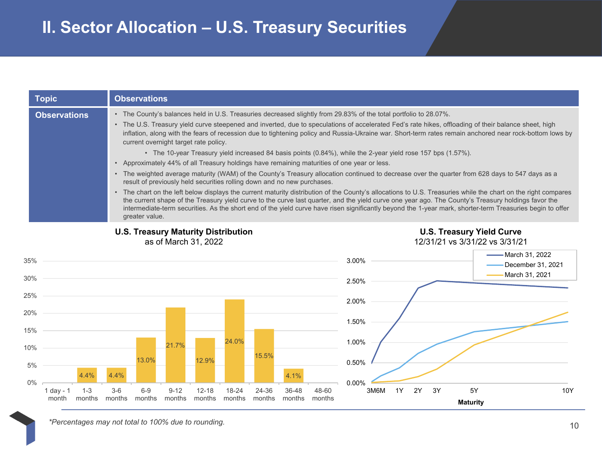|            | <b>Topic</b>         |                   |                 | <b>Observations</b> |                                                                    |                     |                 |                 |                                                                         |                 |                                                                                                                                                                                                                                                                                                                                                                                                                                                                                                                                                                                                                                                                                                                                                                                                                                                                                                                                                                                                                                                                                                                                                                                                                                                                                          |            |    |    |                       |                                                                    |                                                       |     |
|------------|----------------------|-------------------|-----------------|---------------------|--------------------------------------------------------------------|---------------------|-----------------|-----------------|-------------------------------------------------------------------------|-----------------|------------------------------------------------------------------------------------------------------------------------------------------------------------------------------------------------------------------------------------------------------------------------------------------------------------------------------------------------------------------------------------------------------------------------------------------------------------------------------------------------------------------------------------------------------------------------------------------------------------------------------------------------------------------------------------------------------------------------------------------------------------------------------------------------------------------------------------------------------------------------------------------------------------------------------------------------------------------------------------------------------------------------------------------------------------------------------------------------------------------------------------------------------------------------------------------------------------------------------------------------------------------------------------------|------------|----|----|-----------------------|--------------------------------------------------------------------|-------------------------------------------------------|-----|
|            | <b>Observations</b>  |                   | $\bullet$       | greater value.      | current overnight target rate policy.                              |                     |                 |                 | result of previously held securities rolling down and no new purchases. |                 | • The County's balances held in U.S. Treasuries decreased slightly from 29.83% of the total portfolio to 28.07%.<br>• The U.S. Treasury yield curve steepened and inverted, due to speculations of accelerated Fed's rate hikes, offloading of their balance sheet, high<br>inflation, along with the fears of recession due to tightening policy and Russia-Ukraine war. Short-term rates remain anchored near rock-bottom lows by<br>• The 10-year Treasury yield increased 84 basis points (0.84%), while the 2-year yield rose 157 bps (1.57%).<br>• Approximately 44% of all Treasury holdings have remaining maturities of one year or less.<br>The weighted average maturity (WAM) of the County's Treasury allocation continued to decrease over the quarter from 628 days to 547 days as a<br>• The chart on the left below displays the current maturity distribution of the County's allocations to U.S. Treasuries while the chart on the right compares<br>the current shape of the Treasury yield curve to the curve last quarter, and the yield curve one year ago. The County's Treasury holdings favor the<br>intermediate-term securities. As the short end of the yield curve have risen significantly beyond the 1-year mark, shorter-term Treasuries begin to offer |            |    |    |                       |                                                                    |                                                       |     |
|            |                      |                   |                 |                     | <b>U.S. Treasury Maturity Distribution</b><br>as of March 31, 2022 |                     |                 |                 |                                                                         |                 |                                                                                                                                                                                                                                                                                                                                                                                                                                                                                                                                                                                                                                                                                                                                                                                                                                                                                                                                                                                                                                                                                                                                                                                                                                                                                          |            |    |    |                       | <b>U.S. Treasury Yield Curve</b><br>12/31/21 vs 3/31/22 vs 3/31/21 |                                                       |     |
| 35%<br>30% |                      |                   |                 |                     |                                                                    |                     |                 |                 |                                                                         |                 | 3.00%                                                                                                                                                                                                                                                                                                                                                                                                                                                                                                                                                                                                                                                                                                                                                                                                                                                                                                                                                                                                                                                                                                                                                                                                                                                                                    |            |    |    |                       |                                                                    | March 31, 2022<br>December 31, 2021<br>March 31, 2021 |     |
| 25%        |                      |                   |                 |                     |                                                                    |                     |                 |                 |                                                                         |                 | 2.50%                                                                                                                                                                                                                                                                                                                                                                                                                                                                                                                                                                                                                                                                                                                                                                                                                                                                                                                                                                                                                                                                                                                                                                                                                                                                                    |            |    |    |                       |                                                                    |                                                       |     |
| 20%        |                      |                   |                 |                     |                                                                    |                     |                 |                 |                                                                         |                 | 2.00%                                                                                                                                                                                                                                                                                                                                                                                                                                                                                                                                                                                                                                                                                                                                                                                                                                                                                                                                                                                                                                                                                                                                                                                                                                                                                    |            |    |    |                       |                                                                    |                                                       |     |
| 15%        |                      |                   |                 |                     |                                                                    |                     |                 |                 |                                                                         |                 | 1.50%                                                                                                                                                                                                                                                                                                                                                                                                                                                                                                                                                                                                                                                                                                                                                                                                                                                                                                                                                                                                                                                                                                                                                                                                                                                                                    |            |    |    |                       |                                                                    |                                                       |     |
| 10%        |                      |                   |                 |                     | 21.7%                                                              |                     | 24.0%           |                 |                                                                         |                 | 1.00%                                                                                                                                                                                                                                                                                                                                                                                                                                                                                                                                                                                                                                                                                                                                                                                                                                                                                                                                                                                                                                                                                                                                                                                                                                                                                    |            |    |    |                       |                                                                    |                                                       |     |
| 5%         |                      | 4.4%              | 4.4%            | 13.0%               |                                                                    | 12.9%               |                 | 15.5%           | 4.1%                                                                    |                 | 0.50%                                                                                                                                                                                                                                                                                                                                                                                                                                                                                                                                                                                                                                                                                                                                                                                                                                                                                                                                                                                                                                                                                                                                                                                                                                                                                    |            |    |    |                       |                                                                    |                                                       |     |
| $0\%$      | $1$ day - 1<br>month | $1 - 3$<br>months | $3-6$<br>months | $6 - 9$<br>months   | $9 - 12$<br>months                                                 | $12 - 18$<br>months | 18-24<br>months | 24-36<br>months | 36-48<br>months                                                         | 48-60<br>months | 0.00%                                                                                                                                                                                                                                                                                                                                                                                                                                                                                                                                                                                                                                                                                                                                                                                                                                                                                                                                                                                                                                                                                                                                                                                                                                                                                    | 3M6M<br>1Y | 2Y | 3Y | 5Y<br><b>Maturity</b> |                                                                    |                                                       | 10Y |

10 *\*Percentages may not total to 100% due to rounding.*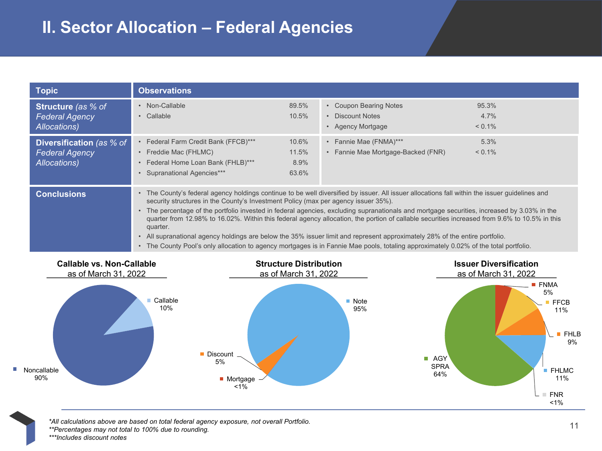#### **II. Sector Allocation – Federal Agencies**

| <b>Topic</b>                                                       | <b>Observations</b>                                                                                                                |                                 |                                                                                                                                                                                                                                                                                                                                                                                                                                                                                                                                                                                                                                                                                                                       |                            |
|--------------------------------------------------------------------|------------------------------------------------------------------------------------------------------------------------------------|---------------------------------|-----------------------------------------------------------------------------------------------------------------------------------------------------------------------------------------------------------------------------------------------------------------------------------------------------------------------------------------------------------------------------------------------------------------------------------------------------------------------------------------------------------------------------------------------------------------------------------------------------------------------------------------------------------------------------------------------------------------------|----------------------------|
| <b>Structure</b> (as % of<br><b>Federal Agency</b><br>Allocations) | • Non-Callable<br>• Callable                                                                                                       | 89.5%<br>10.5%                  | • Coupon Bearing Notes<br>• Discount Notes<br>• Agency Mortgage                                                                                                                                                                                                                                                                                                                                                                                                                                                                                                                                                                                                                                                       | 95.3%<br>4.7%<br>$< 0.1\%$ |
| Diversification (as % of<br><b>Federal Agency</b><br>Allocations)  | • Federal Farm Credit Bank (FFCB)***<br>• Freddie Mac (FHLMC)<br>• Federal Home Loan Bank (FHLB)***<br>• Supranational Agencies*** | 10.6%<br>11.5%<br>8.9%<br>63.6% | • Fannie Mae (FNMA)***<br>• Fannie Mae Mortgage-Backed (FNR)                                                                                                                                                                                                                                                                                                                                                                                                                                                                                                                                                                                                                                                          | 5.3%<br>$< 0.1\%$          |
| <b>Conclusions</b>                                                 | security structures in the County's Investment Policy (max per agency issuer 35%).<br>quarter.                                     |                                 | • The County's federal agency holdings continue to be well diversified by issuer. All issuer allocations fall within the issuer guidelines and<br>• The percentage of the portfolio invested in federal agencies, excluding supranationals and mortgage securities, increased by 3.03% in the<br>quarter from 12.98% to 16.02%. Within this federal agency allocation, the portion of callable securities increased from 9.6% to 10.5% in this<br>• All supranational agency holdings are below the 35% issuer limit and represent approximately 28% of the entire portfolio.<br>• The County Pool's only allocation to agency mortgages is in Fannie Mae pools, totaling approximately 0.02% of the total portfolio. |                            |



11 *\*All calculations above are based on total federal agency exposure, not overall Portfolio. \*\*Percentages may not total to 100% due to rounding. \*\*\*Includes discount notes*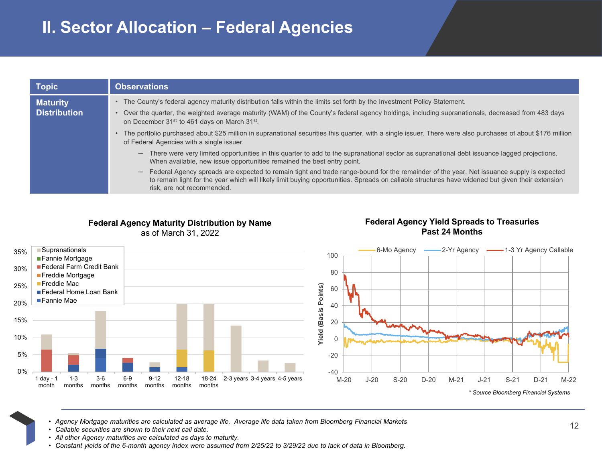| <b>Topic</b>                           | <b>Observations</b>                                                                                                                                                                                                                                                                                                                                    |
|----------------------------------------|--------------------------------------------------------------------------------------------------------------------------------------------------------------------------------------------------------------------------------------------------------------------------------------------------------------------------------------------------------|
| <b>Maturity</b><br><b>Distribution</b> | • The County's federal agency maturity distribution falls within the limits set forth by the Investment Policy Statement.<br>Over the quarter, the weighted average maturity (WAM) of the County's federal agency holdings, including supranationals, decreased from 483 days<br>on December 31 <sup>st</sup> to 461 days on March 31 <sup>st</sup> .  |
|                                        | The portfolio purchased about \$25 million in supranational securities this quarter, with a single issuer. There were also purchases of about \$176 million<br>of Federal Agencies with a single issuer.                                                                                                                                               |
|                                        | There were very limited opportunities in this quarter to add to the supranational sector as supranational debt issuance lagged projections.<br>$\qquad \qquad -$<br>When available, new issue opportunities remained the best entry point.                                                                                                             |
|                                        | Federal Agency spreads are expected to remain tight and trade range-bound for the remainder of the year. Net issuance supply is expected<br>$\overline{\phantom{0}}$<br>to remain light for the year which will likely limit buying opportunities. Spreads on callable structures have widened but given their extension<br>risk, are not recommended. |

#### **Federal Agency Maturity Distribution by Name** as of March 31, 2022

#### **Federal Agency Yield Spreads to Treasuries Past 24 Months**



12 • *Agency Mortgage maturities are calculated as average life. Average life data taken from Bloomberg Financial Markets*

- *Callable securities are shown to their next call date.*
- *All other Agency maturities are calculated as days to maturity.*
- *Constant yields of the 6-month agency index were assumed from 2/25/22 to 3/29/22 due to lack of data in Bloomberg.*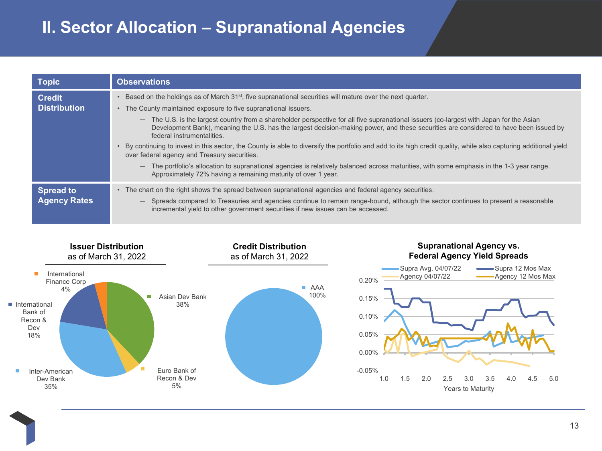### **II. Sector Allocation – Supranational Agencies**

| <b>Topic</b>                            | <b>Observations</b>                                                                                                                                                                                                                                                                                                                                                                                                                                                                                                                                                                                                                                                                                                            |
|-----------------------------------------|--------------------------------------------------------------------------------------------------------------------------------------------------------------------------------------------------------------------------------------------------------------------------------------------------------------------------------------------------------------------------------------------------------------------------------------------------------------------------------------------------------------------------------------------------------------------------------------------------------------------------------------------------------------------------------------------------------------------------------|
| <b>Credit</b><br><b>Distribution</b>    | Based on the holdings as of March 31 <sup>st</sup> , five supranational securities will mature over the next quarter.<br>• The County maintained exposure to five supranational issuers.<br>- The U.S. is the largest country from a shareholder perspective for all five supranational issuers (co-largest with Japan for the Asian<br>Development Bank), meaning the U.S. has the largest decision-making power, and these securities are considered to have been issued by<br>federal instrumentalities.<br>By continuing to invest in this sector, the County is able to diversify the portfolio and add to its high credit quality, while also capturing additional yield<br>over federal agency and Treasury securities. |
|                                         | The portfolio's allocation to supranational agencies is relatively balanced across maturities, with some emphasis in the 1-3 year range.<br>Approximately 72% having a remaining maturity of over 1 year.                                                                                                                                                                                                                                                                                                                                                                                                                                                                                                                      |
| <b>Spread to</b><br><b>Agency Rates</b> | • The chart on the right shows the spread between supranational agencies and federal agency securities.<br>Spreads compared to Treasuries and agencies continue to remain range-bound, although the sector continues to present a reasonable<br>$-$<br>incremental yield to other government securities if new issues can be accessed.                                                                                                                                                                                                                                                                                                                                                                                         |

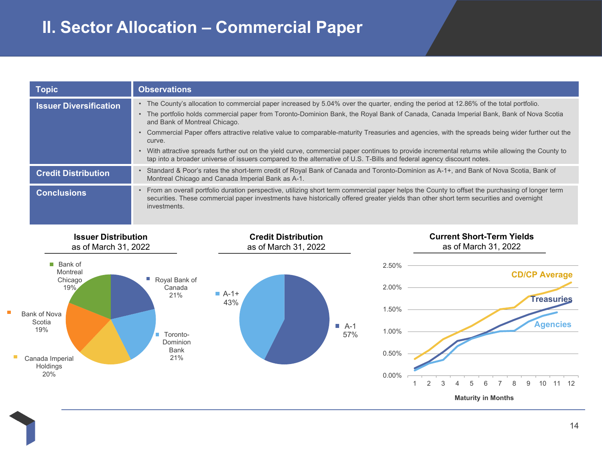### **II. Sector Allocation – Commercial Paper**

| <b>Topic</b>                  | <b>Observations</b>                                                                                                                                                                                                                                                                                                                                                                                                                                                                                                                                                                                                                                                                                                                                                            |
|-------------------------------|--------------------------------------------------------------------------------------------------------------------------------------------------------------------------------------------------------------------------------------------------------------------------------------------------------------------------------------------------------------------------------------------------------------------------------------------------------------------------------------------------------------------------------------------------------------------------------------------------------------------------------------------------------------------------------------------------------------------------------------------------------------------------------|
| <b>Issuer Diversification</b> | The County's allocation to commercial paper increased by 5.04% over the quarter, ending the period at 12.86% of the total portfolio.<br>$\bullet$<br>The portfolio holds commercial paper from Toronto-Dominion Bank, the Royal Bank of Canada, Canada Imperial Bank, Bank of Nova Scotia<br>and Bank of Montreal Chicago.<br>Commercial Paper offers attractive relative value to comparable-maturity Treasuries and agencies, with the spreads being wider further out the<br>curve.<br>With attractive spreads further out on the yield curve, commercial paper continues to provide incremental returns while allowing the County to<br>$\bullet$<br>tap into a broader universe of issuers compared to the alternative of U.S. T-Bills and federal agency discount notes. |
| <b>Credit Distribution</b>    | Standard & Poor's rates the short-term credit of Royal Bank of Canada and Toronto-Dominion as A-1+, and Bank of Nova Scotia, Bank of<br>$\bullet$<br>Montreal Chicago and Canada Imperial Bank as A-1.                                                                                                                                                                                                                                                                                                                                                                                                                                                                                                                                                                         |
| <b>Conclusions</b>            | From an overall portfolio duration perspective, utilizing short term commercial paper helps the County to offset the purchasing of longer term<br>$\bullet$<br>securities. These commercial paper investments have historically offered greater yields than other short term securities and overnight<br>investments.                                                                                                                                                                                                                                                                                                                                                                                                                                                          |

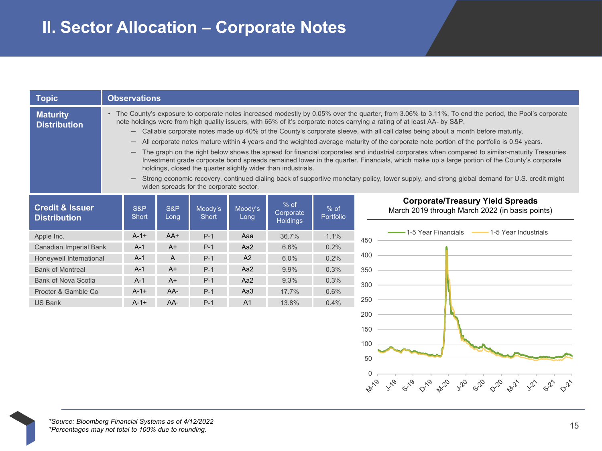| <b>Topic</b>                                      |                                                                                                                                                                                                                                                                                                                                                                                                                                                                                                                                                                                                                                                                                                                                                                                                                                                                                                                                                                                                                                                                                                                                 | <b>Observations</b> |             |                  |                 |                                        |                     |              |                                                                                            |
|---------------------------------------------------|---------------------------------------------------------------------------------------------------------------------------------------------------------------------------------------------------------------------------------------------------------------------------------------------------------------------------------------------------------------------------------------------------------------------------------------------------------------------------------------------------------------------------------------------------------------------------------------------------------------------------------------------------------------------------------------------------------------------------------------------------------------------------------------------------------------------------------------------------------------------------------------------------------------------------------------------------------------------------------------------------------------------------------------------------------------------------------------------------------------------------------|---------------------|-------------|------------------|-----------------|----------------------------------------|---------------------|--------------|--------------------------------------------------------------------------------------------|
| <b>Maturity</b><br><b>Distribution</b>            | • The County's exposure to corporate notes increased modestly by 0.05% over the quarter, from 3.06% to 3.11%. To end the period, the Pool's corporate<br>note holdings were from high quality issuers, with 66% of it's corporate notes carrying a rating of at least AA- by S&P.<br>- Callable corporate notes made up 40% of the County's corporate sleeve, with all call dates being about a month before maturity.<br>All corporate notes mature within 4 years and the weighted average maturity of the corporate note portion of the portfolio is 0.94 years.<br>The graph on the right below shows the spread for financial corporates and industrial corporates when compared to similar-maturity Treasuries.<br>Investment grade corporate bond spreads remained lower in the quarter. Financials, which make up a large portion of the County's corporate<br>holdings, closed the quarter slightly wider than industrials.<br>Strong economic recovery, continued dialing back of supportive monetary policy, lower supply, and strong global demand for U.S. credit might<br>widen spreads for the corporate sector. |                     |             |                  |                 |                                        |                     |              |                                                                                            |
| <b>Credit &amp; Issuer</b><br><b>Distribution</b> |                                                                                                                                                                                                                                                                                                                                                                                                                                                                                                                                                                                                                                                                                                                                                                                                                                                                                                                                                                                                                                                                                                                                 | S&P<br><b>Short</b> | S&P<br>Long | Moody's<br>Short | Moody's<br>Long | $%$ of<br>Corporate<br><b>Holdings</b> | $%$ of<br>Portfolio |              | <b>Corporate/Treasury Yield Spreads</b><br>March 2019 through March 2022 (in basis points) |
| Apple Inc.                                        |                                                                                                                                                                                                                                                                                                                                                                                                                                                                                                                                                                                                                                                                                                                                                                                                                                                                                                                                                                                                                                                                                                                                 | $A-1+$              | AA+         | $P-1$            | Aaa             | 36.7%                                  | 1.1%                | 450          | 1-5 Year Financials – 1-5 Year Industrials                                                 |
| Canadian Imperial Bank                            |                                                                                                                                                                                                                                                                                                                                                                                                                                                                                                                                                                                                                                                                                                                                                                                                                                                                                                                                                                                                                                                                                                                                 | $A-1$               | $A+$        | $P-1$            | Aa2             | 6.6%                                   | 0.2%                |              |                                                                                            |
| Honeywell International                           |                                                                                                                                                                                                                                                                                                                                                                                                                                                                                                                                                                                                                                                                                                                                                                                                                                                                                                                                                                                                                                                                                                                                 | $A-1$               | A           | $P-1$            | A2              | 6.0%                                   | 0.2%                | 400          |                                                                                            |
| <b>Bank of Montreal</b>                           |                                                                                                                                                                                                                                                                                                                                                                                                                                                                                                                                                                                                                                                                                                                                                                                                                                                                                                                                                                                                                                                                                                                                 | $A-1$               | $A+$        | $P-1$            | Aa2             | 9.9%                                   | 0.3%                | 350          |                                                                                            |
| <b>Bank of Nova Scotia</b>                        |                                                                                                                                                                                                                                                                                                                                                                                                                                                                                                                                                                                                                                                                                                                                                                                                                                                                                                                                                                                                                                                                                                                                 | $A-1$               | $A+$        | $P-1$            | Aa2             | 9.3%                                   | 0.3%                | 300          |                                                                                            |
| Procter & Gamble Co                               |                                                                                                                                                                                                                                                                                                                                                                                                                                                                                                                                                                                                                                                                                                                                                                                                                                                                                                                                                                                                                                                                                                                                 | $A - 1 +$           | AA-         | $P-1$            | Aa3             | 17.7%                                  | 0.6%                |              |                                                                                            |
| <b>US Bank</b>                                    |                                                                                                                                                                                                                                                                                                                                                                                                                                                                                                                                                                                                                                                                                                                                                                                                                                                                                                                                                                                                                                                                                                                                 | $A-1+$              | AA-         | $P-1$            | A1              | 13.8%                                  | 0.4%                | 250          |                                                                                            |
|                                                   |                                                                                                                                                                                                                                                                                                                                                                                                                                                                                                                                                                                                                                                                                                                                                                                                                                                                                                                                                                                                                                                                                                                                 |                     |             |                  |                 |                                        |                     | 200          |                                                                                            |
|                                                   |                                                                                                                                                                                                                                                                                                                                                                                                                                                                                                                                                                                                                                                                                                                                                                                                                                                                                                                                                                                                                                                                                                                                 |                     |             |                  |                 |                                        |                     | 150          |                                                                                            |
|                                                   |                                                                                                                                                                                                                                                                                                                                                                                                                                                                                                                                                                                                                                                                                                                                                                                                                                                                                                                                                                                                                                                                                                                                 |                     |             |                  |                 |                                        |                     | 100          |                                                                                            |
|                                                   |                                                                                                                                                                                                                                                                                                                                                                                                                                                                                                                                                                                                                                                                                                                                                                                                                                                                                                                                                                                                                                                                                                                                 |                     |             |                  |                 |                                        |                     |              |                                                                                            |
|                                                   |                                                                                                                                                                                                                                                                                                                                                                                                                                                                                                                                                                                                                                                                                                                                                                                                                                                                                                                                                                                                                                                                                                                                 |                     |             |                  |                 |                                        |                     | 50           |                                                                                            |
|                                                   |                                                                                                                                                                                                                                                                                                                                                                                                                                                                                                                                                                                                                                                                                                                                                                                                                                                                                                                                                                                                                                                                                                                                 |                     |             |                  |                 |                                        |                     | 0            |                                                                                            |
|                                                   |                                                                                                                                                                                                                                                                                                                                                                                                                                                                                                                                                                                                                                                                                                                                                                                                                                                                                                                                                                                                                                                                                                                                 |                     |             |                  |                 |                                        |                     | <b>ATIVO</b> | <b>A</b> NB<br>$y^2$<br>$s^{\mathcal{P}}$<br>$\circ^2$<br><b>NIV</b>                       |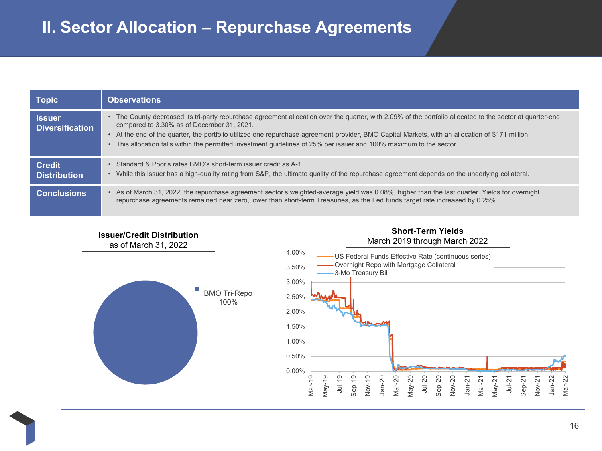| <b>Topic</b>                            | <b>Observations</b>                                                                                                                                                                                                                                                                                                                                                                                                                                                                             |
|-----------------------------------------|-------------------------------------------------------------------------------------------------------------------------------------------------------------------------------------------------------------------------------------------------------------------------------------------------------------------------------------------------------------------------------------------------------------------------------------------------------------------------------------------------|
| <b>Issuer</b><br><b>Diversification</b> | • The County decreased its tri-party repurchase agreement allocation over the quarter, with 2.09% of the portfolio allocated to the sector at quarter-end,<br>compared to 3.30% as of December 31, 2021.<br>• At the end of the quarter, the portfolio utilized one repurchase agreement provider, BMO Capital Markets, with an allocation of \$171 million.<br>This allocation falls within the permitted investment quidelines of 25% per issuer and 100% maximum to the sector.<br>$\bullet$ |
| <b>Credit</b><br><b>Distribution</b>    | • Standard & Poor's rates BMO's short-term issuer credit as A-1.<br>• While this issuer has a high-quality rating from S&P, the ultimate quality of the repurchase agreement depends on the underlying collateral.                                                                                                                                                                                                                                                                              |
| <b>Conclusions</b>                      | • As of March 31, 2022, the repurchase agreement sector's weighted-average yield was 0.08%, higher than the last quarter. Yields for overnight<br>repurchase agreements remained near zero, lower than short-term Treasuries, as the Fed funds target rate increased by 0.25%.                                                                                                                                                                                                                  |



#### **Issuer/Credit Distribution**

as of March 31, 2022

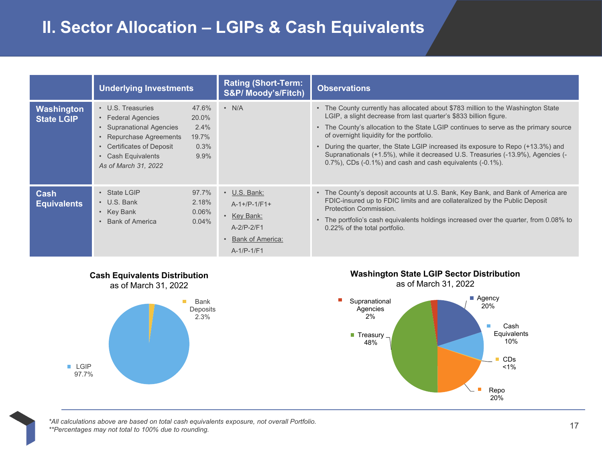### **II. Sector Allocation – LGIPs & Cash Equivalents**

|                                 | <b>Underlying Investments</b>                                                                                                                                                                                              | <b>Rating (Short-Term:</b><br>S&P/ Moody's/Fitch)                                                                    | <b>Observations</b>                                                                                                                                                                                                                                                                                                                                                                                                                                                                                                                        |
|---------------------------------|----------------------------------------------------------------------------------------------------------------------------------------------------------------------------------------------------------------------------|----------------------------------------------------------------------------------------------------------------------|--------------------------------------------------------------------------------------------------------------------------------------------------------------------------------------------------------------------------------------------------------------------------------------------------------------------------------------------------------------------------------------------------------------------------------------------------------------------------------------------------------------------------------------------|
| Washington<br><b>State LGIP</b> | • U.S. Treasuries<br>47.6%<br>• Federal Agencies<br>20.0%<br>• Supranational Agencies<br>2.4%<br>19.7%<br>Repurchase Agreements<br>• Certificates of Deposit<br>0.3%<br>• Cash Equivalents<br>9.9%<br>As of March 31, 2022 | $\cdot$ N/A                                                                                                          | • The County currently has allocated about \$783 million to the Washington State<br>LGIP, a slight decrease from last quarter's \$833 billion figure.<br>• The County's allocation to the State LGIP continues to serve as the primary source<br>of overnight liquidity for the portfolio.<br>During the quarter, the State LGIP increased its exposure to Repo (+13.3%) and<br>$\bullet$<br>Supranationals (+1.5%), while it decreased U.S. Treasuries (-13.9%), Agencies (-<br>0.7%), CDs (-0.1%) and cash and cash equivalents (-0.1%). |
| Cash<br><b>Equivalents</b>      | 97.7%<br>• State LGIP<br>$\cdot$ U.S. Bank<br>2.18%<br>• Key Bank<br>0.06%<br><b>Bank of America</b><br>0.04%                                                                                                              | $\cdot$ U.S. Bank:<br>$A-1+/P-1/F1+$<br>• Key Bank:<br>$A-2/P-2/F1$<br>Bank of America:<br>$\bullet$<br>$A-1/P-1/F1$ | • The County's deposit accounts at U.S. Bank, Key Bank, and Bank of America are<br>FDIC-insured up to FDIC limits and are collateralized by the Public Deposit<br>Protection Commission.<br>The portfolio's cash equivalents holdings increased over the quarter, from 0.08% to<br>$\bullet$<br>0.22% of the total portfolio.                                                                                                                                                                                                              |

П









17 *\*All calculations above are based on total cash equivalents exposure, not overall Portfolio. \*\*Percentages may not total to 100% due to rounding.*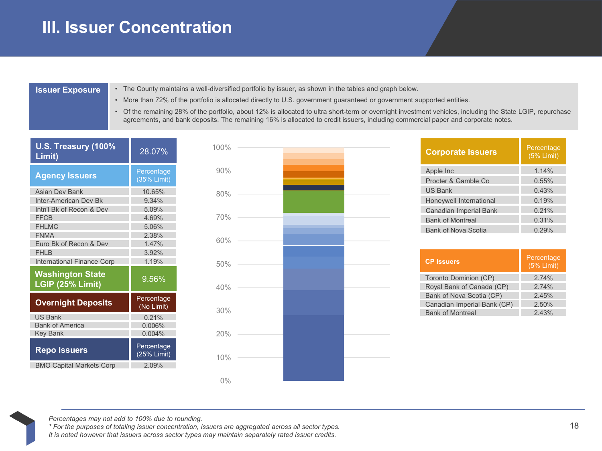#### **III. Issuer Concentration**

- **Issuer Exposure** The County maintains a well-diversified portfolio by issuer, as shown in the tables and graph below.
	- More than 72% of the portfolio is allocated directly to U.S. government guaranteed or government supported entities.
	- Of the remaining 28% of the portfolio, about 12% is allocated to ultra short-term or overnight investment vehicles, including the State LGIP, repurchase agreements, and bank deposits. The remaining 16% is allocated to credit issuers, including commercial paper and corporate notes.

| U.S. Treasury (100%<br>Limit)                                                                                                                                                                               | 28.07%                                                                         |
|-------------------------------------------------------------------------------------------------------------------------------------------------------------------------------------------------------------|--------------------------------------------------------------------------------|
| <b>Agency Issuers</b>                                                                                                                                                                                       | Percentage<br>(35% Limit)                                                      |
| <b>Asian Dev Bank</b><br>Inter-American Dev Bk<br>Intn'l Bk of Recon & Dev<br><b>FFCB</b><br><b>FHLMC</b><br><b>FNMA</b><br>Euro Bk of Recon & Dev<br>FHI <sub>B</sub><br><b>International Finance Corp</b> | 10.65%<br>9 34%<br>5.09%<br>4.69%<br>5.06%<br>2.38%<br>1 47%<br>3.92%<br>1.19% |
| <b>Washington State</b><br>LGIP (25% Limit)                                                                                                                                                                 | 9.56%                                                                          |
| <b>Overnight Deposits</b>                                                                                                                                                                                   | Percentage<br>(No Limit)                                                       |
| <b>US Bank</b><br><b>Bank of America</b><br><b>Key Bank</b>                                                                                                                                                 | 0.21%<br>0.006%<br>0.004%                                                      |
| <b>Repo Issuers</b>                                                                                                                                                                                         | Percentage<br>(25% Limit)                                                      |
| <b>BMO Capital Markets Corp</b>                                                                                                                                                                             | 2.09%                                                                          |



| <b>Corporate Issuers</b>   | Percentage<br>$(5%$ Limit) |
|----------------------------|----------------------------|
| Apple Inc                  | 1.14%                      |
| Procter & Gamble Co.       | 0.55%                      |
| <b>US Bank</b>             | 0.43%                      |
| Honeywell International    | 0.19%                      |
| Canadian Imperial Bank     | 0.21%                      |
| <b>Bank of Montreal</b>    | 0.31%                      |
| <b>Bank of Nova Scotia</b> | 0.29%                      |

| <b>CP Issuers</b>           | Percentage<br>$(5%$ Limit) |
|-----------------------------|----------------------------|
| Toronto Dominion (CP)       | 274%                       |
| Royal Bank of Canada (CP)   | 274%                       |
| Bank of Nova Scotia (CP)    | 2.45%                      |
| Canadian Imperial Bank (CP) | 2.50%                      |
| <b>Bank of Montreal</b>     | 243%                       |

*Percentages may not add to 100% due to rounding.* 

*\* For the purposes of totaling issuer concentration, issuers are aggregated across all sector types. It is noted however that issuers across sector types may maintain separately rated issuer credits.*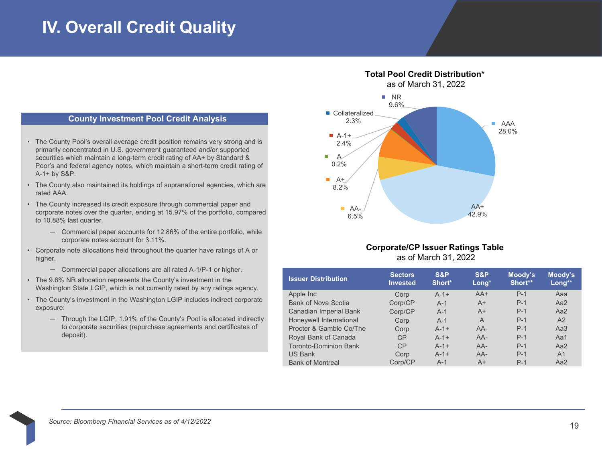### **IV. Overall Credit Quality**

#### **County Investment Pool Credit Analysis**

- The County Pool's overall average credit position remains very strong and is primarily concentrated in U.S. government guaranteed and/or supported securities which maintain a long-term credit rating of AA+ by Standard & Poor's and federal agency notes, which maintain a short-term credit rating of A-1+ by S&P.
- The County also maintained its holdings of supranational agencies, which are rated AAA.
- The County increased its credit exposure through commercial paper and corporate notes over the quarter, ending at 15.97% of the portfolio, compared to 10.88% last quarter.
	- ─ Commercial paper accounts for 12.86% of the entire portfolio, while corporate notes account for 3.11%.
- Corporate note allocations held throughout the quarter have ratings of A or higher.
	- ─ Commercial paper allocations are all rated A-1/P-1 or higher.
- The 9.6% NR allocation represents the County's investment in the Washington State LGIP, which is not currently rated by any ratings agency.
- The County's investment in the Washington LGIP includes indirect corporate exposure:
	- $-$  Through the LGIP, 1.91% of the County's Pool is allocated indirectly to corporate securities (repurchase agreements and certificates of deposit).

#### **Total Pool Credit Distribution\*** as of March 31, 2022 ■ Collateralized ■ NR 9.6%



#### **Corporate/CP Issuer Ratings Table** as of March 31, 2022

| <b>Issuer Distribution</b>    | <b>Sectors</b><br><b>Invested</b> | S&P<br>Short* | S&P<br>Long* | Moody's<br>Short** | Moody's<br>Long** |
|-------------------------------|-----------------------------------|---------------|--------------|--------------------|-------------------|
| Apple Inc                     | Corp                              | $A-1+$        | $AA+$        | $P-1$              | Aaa               |
| <b>Bank of Nova Scotia</b>    | Corp/CP                           | $A-1$         | $A+$         | $P-1$              | Aa <sub>2</sub>   |
| <b>Canadian Imperial Bank</b> | Corp/CP                           | $A-1$         | $A+$         | $P-1$              | Aa2               |
| Honeywell International       | Corp                              | $A-1$         | A            | $P-1$              | A2                |
| Procter & Gamble Co/The       | Corp                              | $A-1+$        | AA-          | $P-1$              | Aa3               |
| Royal Bank of Canada          | CP                                | $A-1+$        | $AA-$        | $P-1$              | Aa1               |
| <b>Toronto-Dominion Bank</b>  | CP                                | $A-1+$        | $AA-$        | $P-1$              | Aa <sub>2</sub>   |
| <b>US Bank</b>                | Corp                              | $A-1+$        | $AA-$        | $P-1$              | A <sub>1</sub>    |
| <b>Bank of Montreal</b>       | Corp/CP                           | $A-1$         | $A+$         | $P-1$              | Aa2               |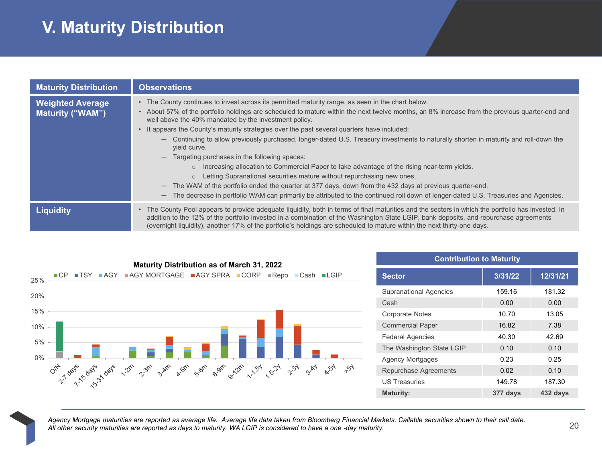# **V. Maturity Distribution**

| <b>Maturity Distribution</b>                       | <b>Observations</b>                                                                                                                                                                                                                                                                                                                                                                                                                                                                                                                                                                                                                                                                                                                                                                                                                                                                                                                                                                                                                                                                                |
|----------------------------------------------------|----------------------------------------------------------------------------------------------------------------------------------------------------------------------------------------------------------------------------------------------------------------------------------------------------------------------------------------------------------------------------------------------------------------------------------------------------------------------------------------------------------------------------------------------------------------------------------------------------------------------------------------------------------------------------------------------------------------------------------------------------------------------------------------------------------------------------------------------------------------------------------------------------------------------------------------------------------------------------------------------------------------------------------------------------------------------------------------------------|
| <b>Weighted Average</b><br><b>Maturity ("WAM")</b> | • The County continues to invest across its permitted maturity range, as seen in the chart below.<br>• About 57% of the portfolio holdings are scheduled to mature within the next twelve months, an 8% increase from the previous quarter-end and<br>well above the 40% mandated by the investment policy.<br>It appears the County's maturity strategies over the past several quarters have included:<br>Continuing to allow previously purchased, longer-dated U.S. Treasury investments to naturally shorten in maturity and roll-down the<br>$\overline{\phantom{0}}$<br>vield curve.<br>Targeting purchases in the following spaces:<br>Increasing allocation to Commercial Paper to take advantage of the rising near-term yields.<br>$\circ$<br>Letting Supranational securities mature without repurchasing new ones.<br>$\circ$<br>- The WAM of the portfolio ended the quarter at 377 days, down from the 432 days at previous quarter-end.<br>The decrease in portfolio WAM can primarily be attributed to the continued roll down of longer-dated U.S. Treasuries and Agencies.<br>— |
| <b>Liquidity</b>                                   | The County Pool appears to provide adequate liquidity, both in terms of final maturities and the sectors in which the portfolio has invested. In<br>addition to the 12% of the portfolio invested in a combination of the Washington State LGIP, bank deposits, and repurchase agreements<br>(overnight liquidity), another 17% of the portfolio's holdings are scheduled to mature within the next thirty-one days.                                                                                                                                                                                                                                                                                                                                                                                                                                                                                                                                                                                                                                                                               |



| <b>Contribution to Maturity</b> |          |          |  |  |  |  |
|---------------------------------|----------|----------|--|--|--|--|
| <b>Sector</b>                   | 3/31/22  | 12/31/21 |  |  |  |  |
| <b>Supranational Agencies</b>   | 159.16   | 181.32   |  |  |  |  |
| Cash                            | 0.00     | 0.00     |  |  |  |  |
| <b>Corporate Notes</b>          | 10.70    | 13.05    |  |  |  |  |
| <b>Commercial Paper</b>         | 16.82    | 7.38     |  |  |  |  |
| <b>Federal Agencies</b>         | 40.30    | 42.69    |  |  |  |  |
| The Washington State LGIP       | 0.10     | 0.10     |  |  |  |  |
| <b>Agency Mortgages</b>         | 0.23     | 0.25     |  |  |  |  |
| <b>Repurchase Agreements</b>    | 0.02     | 0.10     |  |  |  |  |
| <b>US Treasuries</b>            | 149.78   | 187.30   |  |  |  |  |
| <b>Maturity:</b>                | 377 days | 432 days |  |  |  |  |

Agency Mortgage maturities are reported as average life. Average life data taken from Bloomberg Financial Markets. Callable securities shown to their call date.<br>All other security maturities are reported as days to maturit *All other security maturities are reported as days to maturity. WA LGIP is considered to have a one -day maturity.*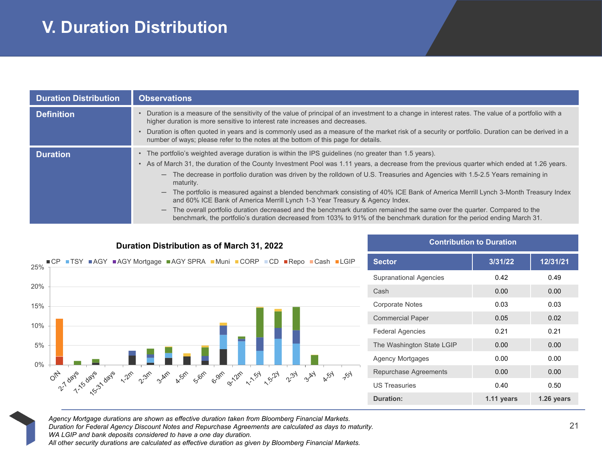# **V. Duration Distribution**

| <b>Duration Distribution</b> | <b>Observations</b>                                                                                                                                                                                                                                                                                                                                                                                                                                                                                                                                                                                                                                                                                                                                                                                                                                                                                                                                                   |
|------------------------------|-----------------------------------------------------------------------------------------------------------------------------------------------------------------------------------------------------------------------------------------------------------------------------------------------------------------------------------------------------------------------------------------------------------------------------------------------------------------------------------------------------------------------------------------------------------------------------------------------------------------------------------------------------------------------------------------------------------------------------------------------------------------------------------------------------------------------------------------------------------------------------------------------------------------------------------------------------------------------|
| <b>Definition</b>            | • Duration is a measure of the sensitivity of the value of principal of an investment to a change in interest rates. The value of a portfolio with a<br>higher duration is more sensitive to interest rate increases and decreases.<br>Duration is often quoted in years and is commonly used as a measure of the market risk of a security or portfolio. Duration can be derived in a<br>$\bullet$<br>number of ways; please refer to the notes at the bottom of this page for details.                                                                                                                                                                                                                                                                                                                                                                                                                                                                              |
| <b>Duration</b>              | The portfolio's weighted average duration is within the IPS guidelines (no greater than 1.5 years).<br>$\bullet$<br>• As of March 31, the duration of the County Investment Pool was 1.11 years, a decrease from the previous quarter which ended at 1.26 years.<br>The decrease in portfolio duration was driven by the rolldown of U.S. Treasuries and Agencies with 1.5-2.5 Years remaining in<br>$\qquad \qquad -$<br>maturity.<br>The portfolio is measured against a blended benchmark consisting of 40% ICE Bank of America Merrill Lynch 3-Month Treasury Index<br>$\overline{\phantom{0}}$<br>and 60% ICE Bank of America Merrill Lynch 1-3 Year Treasury & Agency Index.<br>The overall portfolio duration decreased and the benchmark duration remained the same over the quarter. Compared to the<br>$\overline{\phantom{0}}$<br>benchmark, the portfolio's duration decreased from 103% to 91% of the benchmark duration for the period ending March 31. |

| Duration Distribution as of March 31, 2022                                     | <b>Contribution to Duration</b> |         |  |
|--------------------------------------------------------------------------------|---------------------------------|---------|--|
| ■CP ■TSY ■AGY ■AGY Mortgage ■AGY SPRA ■Muni ■CORP ■CD ■Repo ■Cash ■LGIP<br>25% | <b>Sector</b>                   | 3/31/22 |  |
|                                                                                | <b>Supranational Agencies</b>   | 0.42    |  |
| 20%                                                                            | Cash                            | 0.00    |  |
| 15%                                                                            | <b>Corporate Notes</b>          | 0.03    |  |
|                                                                                | <b>Commercial Paper</b>         | 0.05    |  |
| 10%                                                                            | <b>Federal Agencies</b>         | 0.21    |  |
| 5%                                                                             | The Washington State LGIP       | 0.00    |  |
|                                                                                | <b>Agency Mortgages</b>         | 0.00    |  |
| $0\%$<br>701<br><b>A</b> 51<br><b>BAY</b>                                      | Repurchase Agreements           | 0.00    |  |
|                                                                                | <b>US Treasuries</b>            | 0.40    |  |
|                                                                                |                                 |         |  |

| <b>Contribution to Duration</b> |            |            |
|---------------------------------|------------|------------|
| <b>Sector</b>                   | 3/31/22    | 12/31/21   |
| <b>Supranational Agencies</b>   | 0.42       | 0.49       |
| Cash                            | 0.00       | 0.00       |
| <b>Corporate Notes</b>          | 0.03       | 0.03       |
| <b>Commercial Paper</b>         | 0.05       | 0.02       |
| <b>Federal Agencies</b>         | 0.21       | 0.21       |
| The Washington State LGIP       | 0.00       | 0.00       |
| Agency Mortgages                | 0.00       | 0.00       |
| Repurchase Agreements           | 0.00       | 0.00       |
| <b>US Treasuries</b>            | 0.40       | 0.50       |
| <b>Duration:</b>                | 1.11 years | 1.26 years |

*Agency Mortgage durations are shown as effective duration taken from Bloomberg Financial Markets.*

*Duration for Federal Agency Discount Notes and Repurchase Agreements are calculated as days to maturity.* 

*WA LGIP and bank deposits considered to have a one day duration.*

*All other security durations are calculated as effective duration as given by Bloomberg Financial Markets.*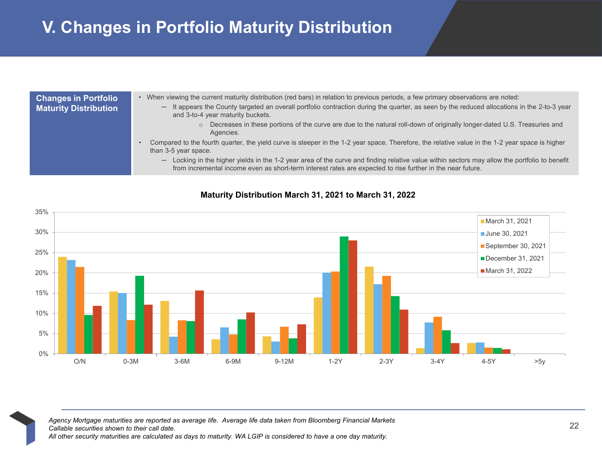# **V. Changes in Portfolio Maturity Distribution**

| <b>Changes in Portfolio</b><br><b>Maturity Distribution</b> | . When viewing the current maturity distribution (red bars) in relation to previous periods, a few primary observations are noted:<br>- It appears the County targeted an overall portfolio contraction during the quarter, as seen by the reduced allocations in the 2-to-3 year<br>and 3-to-4 year maturity buckets. |
|-------------------------------------------------------------|------------------------------------------------------------------------------------------------------------------------------------------------------------------------------------------------------------------------------------------------------------------------------------------------------------------------|
|                                                             | Decreases in these portions of the curve are due to the natural roll-down of originally longer-dated U.S. Treasuries and<br>$\circ$<br>Agencies.                                                                                                                                                                       |
|                                                             | Compared to the fourth quarter, the yield curve is steeper in the 1-2 year space. Therefore, the relative value in the 1-2 year space is higher<br>than 3-5 year space.                                                                                                                                                |
|                                                             | Locking in the higher yields in the 1-2 year area of the curve and finding relative value within sectors may allow the portfolio to benefit<br>$\qquad \qquad \longleftarrow$<br>from incremental income even as short-term interest rates are expected to rise further in the near future.                            |



#### **Maturity Distribution March 31, 2021 to March 31, 2022**

<sup>22</sup> *Agency Mortgage maturities are reported as average life. Average life data taken from Bloomberg Financial Markets Callable securities shown to their call date. All other security maturities are calculated as days to maturity. WA LGIP is considered to have a one day maturity.*